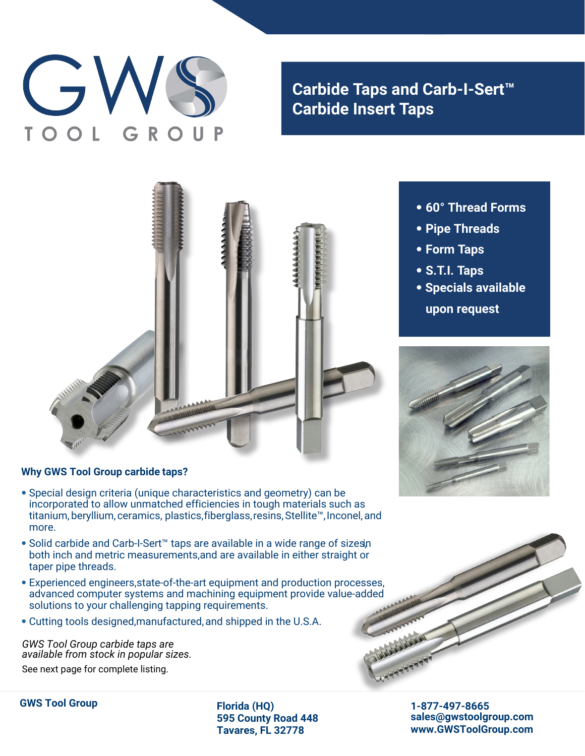# G

# **Carbide Taps and Carb-I-Sert™ Carbide Insert Taps**



# **Why GWS Tool Group carbide taps?**

- Special design criteria (unique characteristics and geometry) can be incorporated to allow unmatched efficiencies in tough materials such as titanium, beryllium, ceramics, plastics, fiberglass, resins, Stellite™, Inconel, and more.
- Solid carbide and Carb-I-Sert™ taps are available in a wide range of sizesin both inch and metric measurements, and are available in either straight or taper pipe threads.
- Experienced engineers, state-of-the-art equipment and production processes, advanced computer systems and machining equipment provide value-added solutions to your challenging tapping requirements.
- Cutting tools designed, manufactured, and shipped in the U.S.A.

*GWS Tool Group carbide taps are available from stock in popular sizes.* See next page for complete listing.



- **Pipe Threads**
- **Form Taps**
- **S.T.I. Taps**
- **Specials available upon request**





**GWS Tool Group Florida (HQ)**

**595 County Road 448 Tavares, FL 32778**

**1-877-497-8665 sales@gwstoolgroup.com www.GWSToolGroup.com**